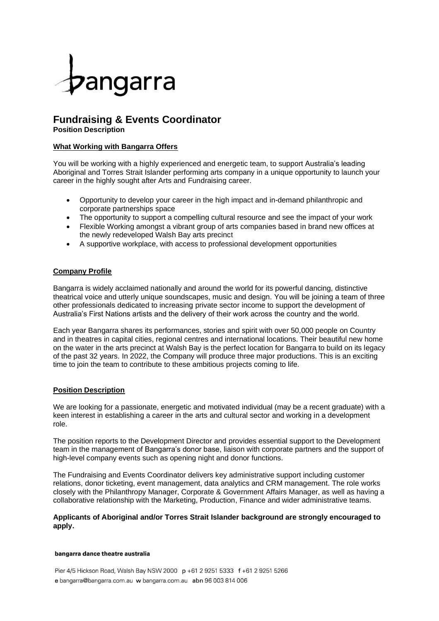

# **Fundraising & Events Coordinator Position Description**

## **What Working with Bangarra Offers**

You will be working with a highly experienced and energetic team, to support Australia's leading Aboriginal and Torres Strait Islander performing arts company in a unique opportunity to launch your career in the highly sought after Arts and Fundraising career.

- Opportunity to develop your career in the high impact and in-demand philanthropic and corporate partnerships space
- The opportunity to support a compelling cultural resource and see the impact of your work
- Flexible Working amongst a vibrant group of arts companies based in brand new offices at the newly redeveloped Walsh Bay arts precinct
- A supportive workplace, with access to professional development opportunities

## **Company Profile**

Bangarra is widely acclaimed nationally and around the world for its powerful dancing, distinctive theatrical voice and utterly unique soundscapes, music and design. You will be joining a team of three other professionals dedicated to increasing private sector income to support the development of Australia's First Nations artists and the delivery of their work across the country and the world.

Each year Bangarra shares its performances, stories and spirit with over 50,000 people on Country and in theatres in capital cities, regional centres and international locations. Their beautiful new home on the water in the arts precinct at Walsh Bay is the perfect location for Bangarra to build on its legacy of the past 32 years. In 2022, the Company will produce three major productions. This is an exciting time to join the team to contribute to these ambitious projects coming to life.

## **Position Description**

We are looking for a passionate, energetic and motivated individual (may be a recent graduate) with a keen interest in establishing a career in the arts and cultural sector and working in a development role.

The position reports to the Development Director and provides essential support to the Development team in the management of Bangarra's donor base, liaison with corporate partners and the support of high-level company events such as opening night and donor functions.

The Fundraising and Events Coordinator delivers key administrative support including customer relations, donor ticketing, event management, data analytics and CRM management. The role works closely with the Philanthropy Manager, Corporate & Government Affairs Manager, as well as having a collaborative relationship with the Marketing, Production, Finance and wider administrative teams.

## **Applicants of Aboriginal and/or Torres Strait Islander background are strongly encouraged to apply.**

#### bangarra dance theatre australia

Pier 4/5 Hickson Road, Walsh Bay NSW 2000 p +61 2 9251 5333 f +61 2 9251 5266 e bangarra@bangarra.com.au w bangarra.com.au abn 96 003 814 006